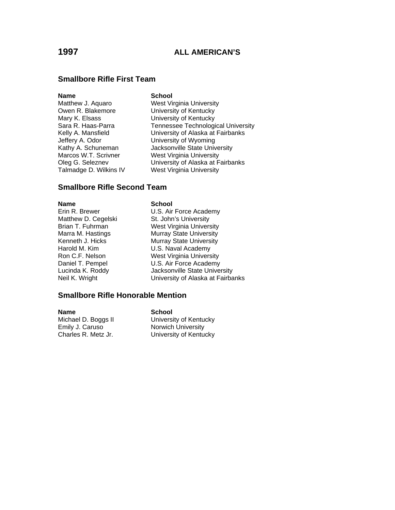## **Smallbore Rifle First Team**

### **Name** School

Jeffery A. Odor University of Wyoming Talmadge D. Wilkins IV West Virginia University

Matthew J. Aquaro West Virginia University Owen R. Blakemore **B. Elist Contract University of Kentucky**<br>Mary K. Elsass **Mary Contract Contract University of Kentucky** University of Kentucky Sara R. Haas-Parra Tennessee Technological University Kelly A. Mansfield **University of Alaska at Fairbanks** Kathy A. Schuneman **Jacksonville State University** Marcos W.T. Scrivner West Virginia University Oleg G. Seleznev University of Alaska at Fairbanks

## **Smallbore Rifle Second Team**

### **Name School**

Erin R. Brewer **U.S. Air Force Academy** Matthew D. Cegelski St. John's University Brian T. Fuhrman West Virginia University Marra M. Hastings<br>
Kenneth J. Hicks<br>
Murray State University Murray State University Harold M. Kim **U.S. Naval Academy** Ron C.F. Nelson West Virginia University Daniel T. Pempel U.S. Air Force Academy Lucinda K. Roddy Jacksonville State University Neil K. Wright **Neil K. Wright** University of Alaska at Fairbanks

### **Smallbore Rifle Honorable Mention**

**Name School**  Emily J. Caruso **Norwich University**<br>Charles R. Metz Jr. **No. 1998** University of Kentu

University of Kentucky University of Kentucky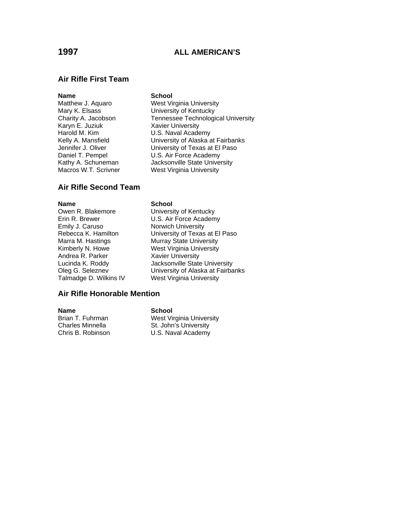## **Air Rifle First Team**

### **Name** School

Mary K. Elsass **Mary K. Elsass** University of Kentucky<br>Charity A. Jacobson **Charlesse** Technologi Harold M. Kim **U.S. Naval Academy** Macros W.T. Scrivner West Virginia University

Matthew J. Aquaro West Virginia University Charity A. Jacobson Tennessee Technological University<br>Karyn E. Juziuk Xavier University **Xavier University** Kelly A. Mansfield **Warehr Manual University of Alaska** at Fairbanks Jennifer J. Oliver **University of Texas at El Paso** Daniel T. Pempel U.S. Air Force Academy Kathy A. Schuneman **Jacksonville State University** 

# **Air Rifle Second Team**

Emily J. Caruso Norwich University Andrea R. Parker Xavier University

### **Name** School

Owen R. Blakemore University of Kentucky Erin R. Brewer **U.S. Air Force Academy** Rebecca K. Hamilton University of Texas at El Paso<br>
Marra M. Hastings Murray State University Murray State University Kimberly N. Howe West Virginia University Lucinda K. Roddy Jacksonville State University Oleg G. Seleznev University of Alaska at Fairbanks Talmadge D. Wilkins IV West Virginia University

### **Air Rifle Honorable Mention**

**Name** School

Brian T. Fuhrman West Virginia University Charles Minnella St. John's University Chris B. Robinson U.S. Naval Academy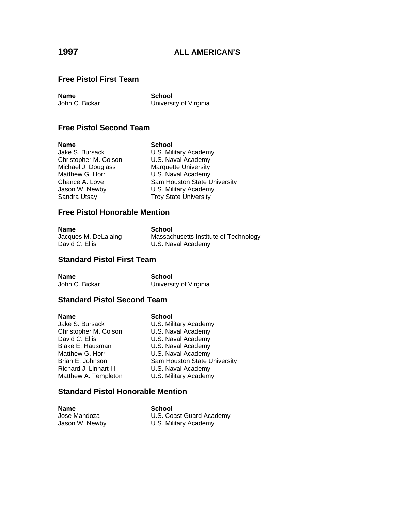## **Free Pistol First Team**

**Name**<br> **School**<br> **John C. Bickar**<br> **C. Bickar** 

University of Virginia

# **Free Pistol Second Team**

**Name School**  Christopher M. Colson Michael J. Douglass Marquette University<br>
Matthew G. Horr Matthew G. Horr Matthew G. Horr **U.S. Naval Academy**<br>Chance A. Love **Sam Houston State L** Jason W. Newby **U.S. Military Academy** Sandra Utsay Troy State University

U.S. Military Academy<br>U.S. Naval Academy Sam Houston State University

## **Free Pistol Honorable Mention**

| <b>Name</b>          | School                                |
|----------------------|---------------------------------------|
| Jacques M. DeLalaing | Massachusetts Institute of Technology |
| David C. Ellis       | U.S. Naval Academy                    |

## **Standard Pistol First Team**

**Name** School<br>John C. Bickar School<br>Universi

University of Virginia

### **Standard Pistol Second Team**

| Name                   | <b>School</b>                |
|------------------------|------------------------------|
| Jake S. Bursack        | U.S. Military Academy        |
| Christopher M. Colson  | U.S. Naval Academy           |
| David C. Ellis         | U.S. Naval Academy           |
| Blake E. Hausman       | U.S. Naval Academy           |
| Matthew G. Horr        | U.S. Naval Academy           |
| Brian E. Johnson       | Sam Houston State University |
| Richard J. Linhart III | U.S. Naval Academy           |
| Matthew A. Templeton   | U.S. Military Academy        |
|                        |                              |

### **Standard Pistol Honorable Mention**

**Name**<br> **School**<br> **Jose Mandoza**<br> **CO** U.S. Coast Guard Academy Jason W. Newby U.S. Military Academy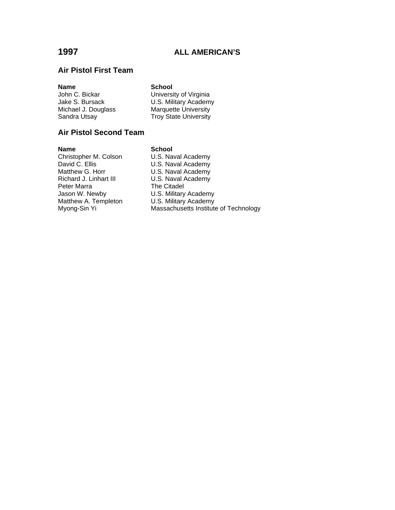# **Air Pistol First Team**

| <b>Name</b>         | <b>School</b>                |
|---------------------|------------------------------|
| John C. Bickar      | University of Virginia       |
| Jake S. Bursack     | U.S. Military Academy        |
| Michael J. Douglass | <b>Marquette University</b>  |
| Sandra Utsay        | <b>Troy State University</b> |
|                     |                              |

# **Air Pistol Second Team**

| <b>Name</b>            | <b>School</b>                         |
|------------------------|---------------------------------------|
| Christopher M. Colson  | U.S. Naval Academy                    |
| David C. Ellis         | U.S. Naval Academy                    |
| Matthew G. Horr        | U.S. Naval Academy                    |
| Richard J. Linhart III | U.S. Naval Academy                    |
| Peter Marra            | The Citadel                           |
| Jason W. Newby         | U.S. Military Academy                 |
| Matthew A. Templeton   | U.S. Military Academy                 |
| Myong-Sin Yi           | Massachusetts Institute of Technology |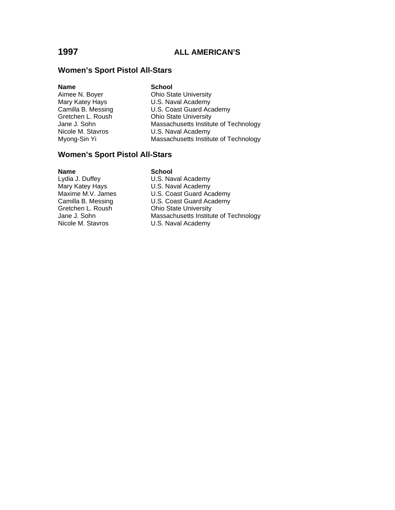### **Women's Sport Pistol All-Stars**

| Name               |
|--------------------|
| Aimee N. Boyer     |
| Mary Katey Hays    |
| Camilla B. Messing |
| Gretchen L. Roush  |
| Jane J. Sohn       |
| Nicole M. Stavros  |
| Myong-Sin Yi       |

**School Ohio State University** U.S. Naval Academy U.S. Coast Guard Academy **Ohio State University** Massachusetts Institute of Technology U.S. Naval Academy Massachusetts Institute of Technology

### **Women's Sport Pistol All-Stars**

**Name**<br> **Analytical**<br> **Lydia J. Duffey**<br> **COMPOSE SCHOOL**<br> **SCHOOL**<br> **SCHOOL** Lydia J. Duffey **Cancel Communist Control** U.S. Naval Academy Mary Katey Hays Mary Katey Hays **U.S. Naval Academy**<br>Maxime M.V. James **U.S. Coast Guard Aca** U.S. Coast Guard Academy Camilla B. Messing U.S. Coast Guard Academy<br>Gretchen L. Roush Chio State University **Ohio State University** Jane J. Sohn Massachusetts Institute of Technology<br>Nicole M. Stavros U.S. Naval Academy U.S. Naval Academy